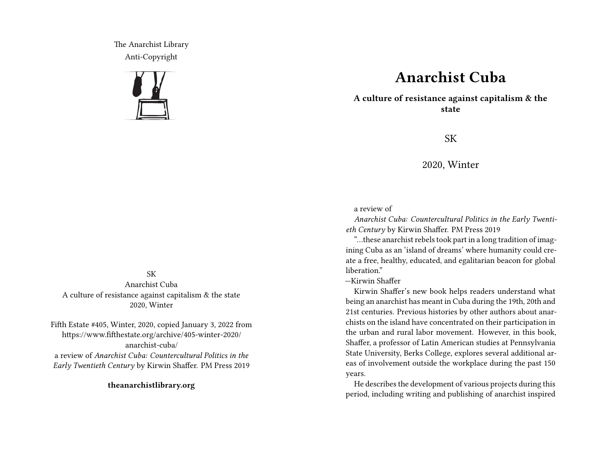The Anarchist Library Anti-Copyright



## **Anarchist Cuba**

**A culture of resistance against capitalism & the state**

SK

2020, Winter

## a review of

*Anarchist Cuba: Countercultural Politics in the Early Twentieth Century* by Kirwin Shaffer. PM Press 2019

"…these anarchist rebels took part in a long tradition of imagining Cuba as an 'island of dreams' where humanity could create a free, healthy, educated, and egalitarian beacon for global liberation."

—Kirwin Shaffer

Kirwin Shaffer's new book helps readers understand what being an anarchist has meant in Cuba during the 19th, 20th and 21st centuries. Previous histories by other authors about anarchists on the island have concentrated on their participation in the urban and rural labor movement. However, in this book, Shaffer, a professor of Latin American studies at Pennsylvania State University, Berks College, explores several additional areas of involvement outside the workplace during the past 150 years.

He describes the development of various projects during this period, including writing and publishing of anarchist inspired

## SK

Anarchist Cuba A culture of resistance against capitalism & the state 2020, Winter

Fifth Estate #405, Winter, 2020, copied January 3, 2022 from https://www.fifthestate.org/archive/405-winter-2020/ anarchist-cuba/ a review of *Anarchist Cuba: Countercultural Politics in the Early Twentieth Century* by Kirwin Shaffer. PM Press 2019

**theanarchistlibrary.org**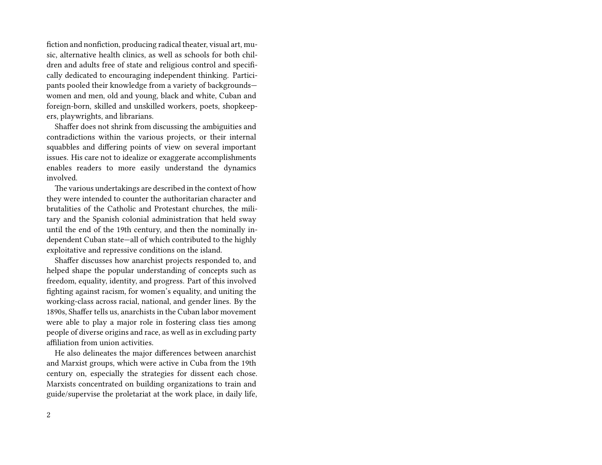fiction and nonfiction, producing radical theater, visual art, music, alternative health clinics, as well as schools for both children and adults free of state and religious control and specifically dedicated to encouraging independent thinking. Participants pooled their knowledge from a variety of backgrounds women and men, old and young, black and white, Cuban and foreign-born, skilled and unskilled workers, poets, shopkeepers, playwrights, and librarians.

Shaffer does not shrink from discussing the ambiguities and contradictions within the various projects, or their internal squabbles and differing points of view on several important issues. His care not to idealize or exaggerate accomplishments enables readers to more easily understand the dynamics involved.

The various undertakings are described in the context of how they were intended to counter the authoritarian character and brutalities of the Catholic and Protestant churches, the military and the Spanish colonial administration that held sway until the end of the 19th century, and then the nominally independent Cuban state—all of which contributed to the highly exploitative and repressive conditions on the island.

Shaffer discusses how anarchist projects responded to, and helped shape the popular understanding of concepts such as freedom, equality, identity, and progress. Part of this involved fighting against racism, for women's equality, and uniting the working-class across racial, national, and gender lines. By the 1890s, Shaffer tells us, anarchists in the Cuban labor movement were able to play a major role in fostering class ties among people of diverse origins and race, as well as in excluding party affiliation from union activities.

He also delineates the major differences between anarchist and Marxist groups, which were active in Cuba from the 19th century on, especially the strategies for dissent each chose. Marxists concentrated on building organizations to train and guide/supervise the proletariat at the work place, in daily life,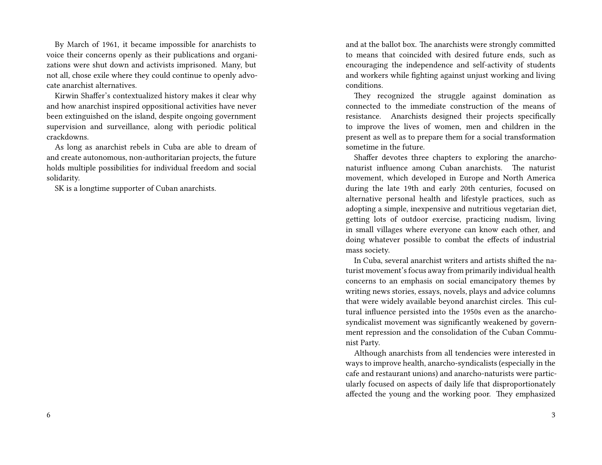By March of 1961, it became impossible for anarchists to voice their concerns openly as their publications and organizations were shut down and activists imprisoned. Many, but not all, chose exile where they could continue to openly advocate anarchist alternatives.

Kirwin Shaffer's contextualized history makes it clear why and how anarchist inspired oppositional activities have never been extinguished on the island, despite ongoing government supervision and surveillance, along with periodic political crackdowns.

As long as anarchist rebels in Cuba are able to dream of and create autonomous, non-authoritarian projects, the future holds multiple possibilities for individual freedom and social solidarity.

SK is a longtime supporter of Cuban anarchists.

and at the ballot box. The anarchists were strongly committed to means that coincided with desired future ends, such as encouraging the independence and self-activity of students and workers while fighting against unjust working and living conditions.

They recognized the struggle against domination as connected to the immediate construction of the means of resistance. Anarchists designed their projects specifically to improve the lives of women, men and children in the present as well as to prepare them for a social transformation sometime in the future.

Shaffer devotes three chapters to exploring the anarchonaturist influence among Cuban anarchists. The naturist movement, which developed in Europe and North America during the late 19th and early 20th centuries, focused on alternative personal health and lifestyle practices, such as adopting a simple, inexpensive and nutritious vegetarian diet, getting lots of outdoor exercise, practicing nudism, living in small villages where everyone can know each other, and doing whatever possible to combat the effects of industrial mass society.

In Cuba, several anarchist writers and artists shifted the naturist movement's focus away from primarily individual health concerns to an emphasis on social emancipatory themes by writing news stories, essays, novels, plays and advice columns that were widely available beyond anarchist circles. This cultural influence persisted into the 1950s even as the anarchosyndicalist movement was significantly weakened by government repression and the consolidation of the Cuban Communist Party.

Although anarchists from all tendencies were interested in ways to improve health, anarcho-syndicalists (especially in the cafe and restaurant unions) and anarcho-naturists were particularly focused on aspects of daily life that disproportionately affected the young and the working poor. They emphasized